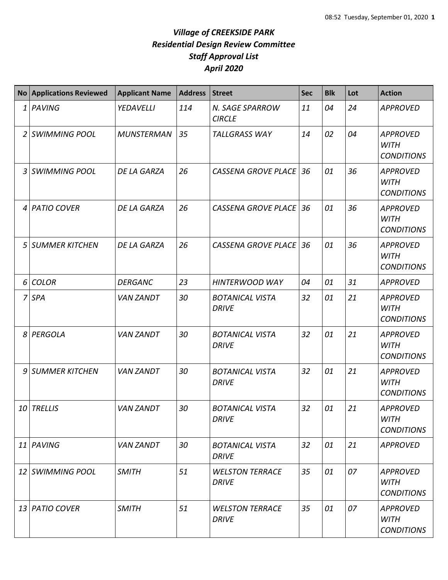|              | No Applications Reviewed | <b>Applicant Name</b> | <b>Address</b> | <b>Street</b>                          | <b>Sec</b> | <b>Blk</b> | Lot | <b>Action</b>                                       |
|--------------|--------------------------|-----------------------|----------------|----------------------------------------|------------|------------|-----|-----------------------------------------------------|
| $\mathbf{1}$ | PAVING                   | YEDAVELLI             | 114            | N. SAGE SPARROW<br><b>CIRCLE</b>       | 11         | 04         | 24  | <b>APPROVED</b>                                     |
| 2            | <b>SWIMMING POOL</b>     | <b>MUNSTERMAN</b>     | 35             | <b>TALLGRASS WAY</b>                   | 14         | 02         | 04  | <b>APPROVED</b><br><b>WITH</b><br><b>CONDITIONS</b> |
| 3            | <b>SWIMMING POOL</b>     | <b>DE LA GARZA</b>    | 26             | <b>CASSENA GROVE PLACE</b>             | 36         | 01         | 36  | <b>APPROVED</b><br><b>WITH</b><br><b>CONDITIONS</b> |
| 4            | <b>PATIO COVER</b>       | <b>DE LA GARZA</b>    | 26             | <b>CASSENA GROVE PLACE</b>             | 36         | 01         | 36  | <b>APPROVED</b><br><b>WITH</b><br><b>CONDITIONS</b> |
| 5            | <b>SUMMER KITCHEN</b>    | DE LA GARZA           | 26             | <b>CASSENA GROVE PLACE</b>             | 36         | 01         | 36  | <b>APPROVED</b><br><b>WITH</b><br><b>CONDITIONS</b> |
| 6            | <b>COLOR</b>             | <b>DERGANC</b>        | 23             | HINTERWOOD WAY                         | 04         | 01         | 31  | <b>APPROVED</b>                                     |
| 7            | <b>SPA</b>               | <b>VAN ZANDT</b>      | 30             | <b>BOTANICAL VISTA</b><br><b>DRIVE</b> | 32         | 01         | 21  | <b>APPROVED</b><br><b>WITH</b><br><b>CONDITIONS</b> |
| 8            | PERGOLA                  | <b>VAN ZANDT</b>      | 30             | <b>BOTANICAL VISTA</b><br><b>DRIVE</b> | 32         | 01         | 21  | <b>APPROVED</b><br><b>WITH</b><br><b>CONDITIONS</b> |
| 9            | <b>SUMMER KITCHEN</b>    | <b>VAN ZANDT</b>      | 30             | <b>BOTANICAL VISTA</b><br><b>DRIVE</b> | 32         | 01         | 21  | <b>APPROVED</b><br><b>WITH</b><br><b>CONDITIONS</b> |
| 10           | <b>TRELLIS</b>           | <b>VAN ZANDT</b>      | 30             | <b>BOTANICAL VISTA</b><br><b>DRIVE</b> | 32         | 01         | 21  | <b>APPROVED</b><br><b>WITH</b><br><b>CONDITIONS</b> |
|              | 11 PAVING                | <b>VAN ZANDT</b>      | 30             | <b>BOTANICAL VISTA</b><br><b>DRIVE</b> | 32         | 01         | 21  | <b>APPROVED</b>                                     |
|              | 12 SWIMMING POOL         | <b>SMITH</b>          | 51             | <b>WELSTON TERRACE</b><br><b>DRIVE</b> | 35         | 01         | 07  | <b>APPROVED</b><br><b>WITH</b><br><b>CONDITIONS</b> |
|              | 13 PATIO COVER           | <b>SMITH</b>          | 51             | <b>WELSTON TERRACE</b><br><b>DRIVE</b> | 35         | 01         | 07  | <b>APPROVED</b><br><b>WITH</b><br><b>CONDITIONS</b> |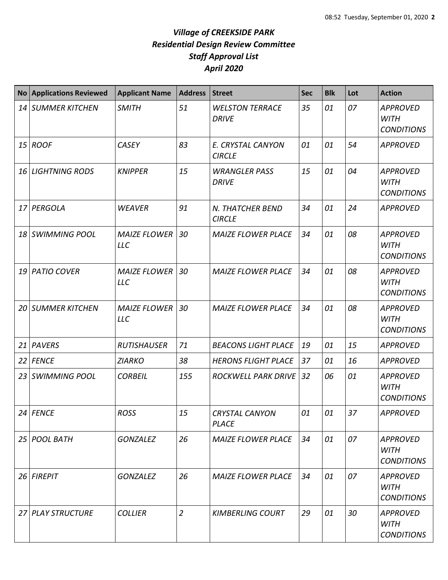| <b>No</b> | <b>Applications Reviewed</b> | <b>Applicant Name</b>             | <b>Address</b> | <b>Street</b>                          | <b>Sec</b> | <b>Blk</b> | Lot | <b>Action</b>                                       |
|-----------|------------------------------|-----------------------------------|----------------|----------------------------------------|------------|------------|-----|-----------------------------------------------------|
| 14        | <b>SUMMER KITCHEN</b>        | <b>SMITH</b>                      | 51             | <b>WELSTON TERRACE</b><br><b>DRIVE</b> | 35         | 01         | 07  | <b>APPROVED</b><br><b>WITH</b><br><b>CONDITIONS</b> |
|           | 15 ROOF                      | <b>CASEY</b>                      | 83             | E. CRYSTAL CANYON<br><b>CIRCLE</b>     | 01         | 01         | 54  | <b>APPROVED</b>                                     |
| 16        | <b>LIGHTNING RODS</b>        | <b>KNIPPER</b>                    | 15             | <b>WRANGLER PASS</b><br><b>DRIVE</b>   | 15         | 01         | 04  | <b>APPROVED</b><br><b>WITH</b><br><b>CONDITIONS</b> |
| 17        | PERGOLA                      | <b>WEAVER</b>                     | 91             | N. THATCHER BEND<br><b>CIRCLE</b>      | 34         | 01         | 24  | <b>APPROVED</b>                                     |
| 18        | SWIMMING POOL                | <b>MAIZE FLOWER</b><br><b>LLC</b> | 30             | <b>MAIZE FLOWER PLACE</b>              | 34         | 01         | 08  | <b>APPROVED</b><br><b>WITH</b><br><b>CONDITIONS</b> |
| 19        | <b>PATIO COVER</b>           | <b>MAIZE FLOWER</b><br>LLC        | 30             | <b>MAIZE FLOWER PLACE</b>              | 34         | 01         | 08  | <b>APPROVED</b><br><b>WITH</b><br><b>CONDITIONS</b> |
| 20        | SUMMER KITCHEN               | <b>MAIZE FLOWER</b><br><b>LLC</b> | 30             | <b>MAIZE FLOWER PLACE</b>              | 34         | 01         | 08  | <b>APPROVED</b><br><b>WITH</b><br><b>CONDITIONS</b> |
| 21        | <b>PAVERS</b>                | <b>RUTISHAUSER</b>                | 71             | <b>BEACONS LIGHT PLACE</b>             | 19         | 01         | 15  | <b>APPROVED</b>                                     |
| 22        | <b>FENCE</b>                 | <b>ZIARKO</b>                     | 38             | <b>HERONS FLIGHT PLACE</b>             | 37         | 01         | 16  | <b>APPROVED</b>                                     |
| 23        | <b>SWIMMING POOL</b>         | <b>CORBEIL</b>                    | 155            | <b>ROCKWELL PARK DRIVE</b>             | 32         | 06         | 01  | <b>APPROVED</b><br><b>WITH</b><br><b>CONDITIONS</b> |
|           | 24 FENCE                     | <b>ROSS</b>                       | 15             | CRYSTAL CANYON<br><b>PLACE</b>         | 01         | 01         | 37  | <b>APPROVED</b>                                     |
|           | 25 POOL BATH                 | <b>GONZALEZ</b>                   | 26             | <b>MAIZE FLOWER PLACE</b>              | 34         | 01         | 07  | <b>APPROVED</b><br><b>WITH</b><br><b>CONDITIONS</b> |
|           | 26 FIREPIT                   | <b>GONZALEZ</b>                   | 26             | <b>MAIZE FLOWER PLACE</b>              | 34         | 01         | 07  | <b>APPROVED</b><br><b>WITH</b><br><b>CONDITIONS</b> |
| 27        | PLAY STRUCTURE               | <b>COLLIER</b>                    | $\overline{2}$ | <b>KIMBERLING COURT</b>                | 29         | 01         | 30  | <b>APPROVED</b><br><b>WITH</b><br><b>CONDITIONS</b> |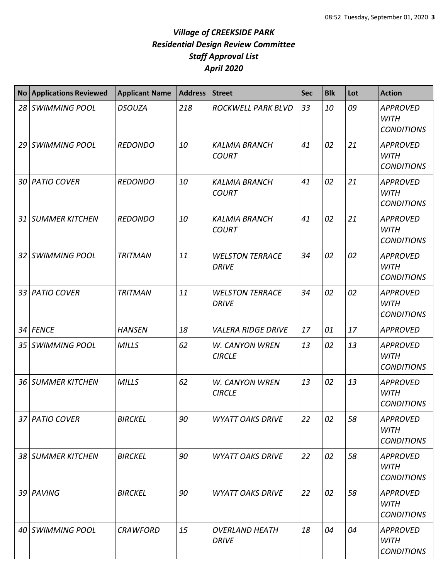| <b>No</b>       | <b>Applications Reviewed</b> | <b>Applicant Name</b> | <b>Address</b> | <b>Street</b>                          | <b>Sec</b> | <b>Blk</b> | Lot | <b>Action</b>                                       |
|-----------------|------------------------------|-----------------------|----------------|----------------------------------------|------------|------------|-----|-----------------------------------------------------|
| 28 <sup>1</sup> | <b>SWIMMING POOL</b>         | <b>DSOUZA</b>         | 218            | ROCKWELL PARK BLVD                     | 33         | 10         | 09  | <b>APPROVED</b><br><b>WITH</b><br><b>CONDITIONS</b> |
| 29              | <b>SWIMMING POOL</b>         | <b>REDONDO</b>        | 10             | <b>KALMIA BRANCH</b><br><b>COURT</b>   | 41         | 02         | 21  | <b>APPROVED</b><br><b>WITH</b><br><b>CONDITIONS</b> |
| 30              | <b>PATIO COVER</b>           | <b>REDONDO</b>        | 10             | <b>KALMIA BRANCH</b><br><b>COURT</b>   | 41         | 02         | 21  | <b>APPROVED</b><br><b>WITH</b><br><b>CONDITIONS</b> |
| 31 I            | <b>SUMMER KITCHEN</b>        | <b>REDONDO</b>        | 10             | <b>KALMIA BRANCH</b><br><b>COURT</b>   | 41         | 02         | 21  | <b>APPROVED</b><br><b>WITH</b><br><b>CONDITIONS</b> |
| 32              | <b>SWIMMING POOL</b>         | <b>TRITMAN</b>        | 11             | <b>WELSTON TERRACE</b><br><b>DRIVE</b> | 34         | 02         | 02  | <b>APPROVED</b><br><b>WITH</b><br><b>CONDITIONS</b> |
| 33 <sup>1</sup> | <b>PATIO COVER</b>           | <b>TRITMAN</b>        | 11             | <b>WELSTON TERRACE</b><br><b>DRIVE</b> | 34         | 02         | 02  | <b>APPROVED</b><br><b>WITH</b><br><b>CONDITIONS</b> |
| 34              | <b>FENCE</b>                 | <b>HANSEN</b>         | 18             | <b>VALERA RIDGE DRIVE</b>              | 17         | 01         | 17  | <b>APPROVED</b>                                     |
|                 | 35 SWIMMING POOL             | <b>MILLS</b>          | 62             | W. CANYON WREN<br><b>CIRCLE</b>        | 13         | 02         | 13  | <b>APPROVED</b><br><b>WITH</b><br><b>CONDITIONS</b> |
| 36 <sup>1</sup> | <b>SUMMER KITCHEN</b>        | <b>MILLS</b>          | 62             | W. CANYON WREN<br><b>CIRCLE</b>        | 13         | 02         | 13  | <b>APPROVED</b><br><b>WITH</b><br><b>CONDITIONS</b> |
|                 | 37 PATIO COVER               | <b>BIRCKEL</b>        | 90             | <b>WYATT OAKS DRIVE</b>                | 22         | 02         | 58  | <b>APPROVED</b><br><b>WITH</b><br><b>CONDITIONS</b> |
|                 | 38 SUMMER KITCHEN            | <b>BIRCKEL</b>        | 90             | <b>WYATT OAKS DRIVE</b>                | 22         | 02         | 58  | <b>APPROVED</b><br><b>WITH</b><br><b>CONDITIONS</b> |
|                 | 39 PAVING                    | <b>BIRCKEL</b>        | 90             | <b>WYATT OAKS DRIVE</b>                | 22         | 02         | 58  | <b>APPROVED</b><br><b>WITH</b><br><b>CONDITIONS</b> |
| 40 I            | <b>SWIMMING POOL</b>         | <b>CRAWFORD</b>       | 15             | <b>OVERLAND HEATH</b><br><b>DRIVE</b>  | 18         | 04         | 04  | <b>APPROVED</b><br><b>WITH</b><br><b>CONDITIONS</b> |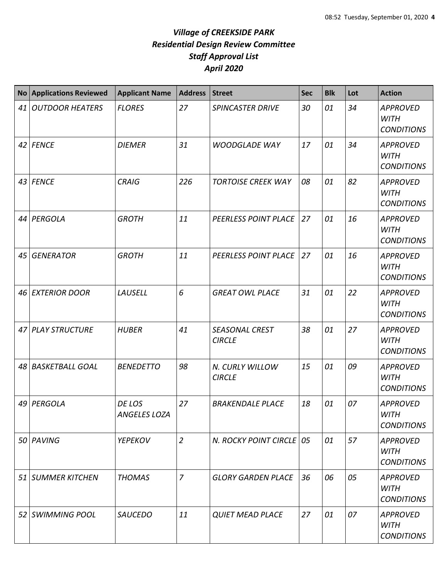| $\overline{N}$ o | <b>Applications Reviewed</b> | <b>Applicant Name</b>         | <b>Address</b> | <b>Street</b>                          | Sec | <b>Blk</b> | Lot | <b>Action</b>                                       |
|------------------|------------------------------|-------------------------------|----------------|----------------------------------------|-----|------------|-----|-----------------------------------------------------|
| 41               | <b>OUTDOOR HEATERS</b>       | <b>FLORES</b>                 | 27             | <b>SPINCASTER DRIVE</b>                | 30  | 01         | 34  | <b>APPROVED</b><br><b>WITH</b><br><b>CONDITIONS</b> |
|                  | 42 FENCE                     | <b>DIEMER</b>                 | 31             | <b>WOODGLADE WAY</b>                   | 17  | 01         | 34  | <b>APPROVED</b><br><b>WITH</b><br><b>CONDITIONS</b> |
|                  | 43 FENCE                     | <b>CRAIG</b>                  | 226            | <b>TORTOISE CREEK WAY</b>              | 08  | 01         | 82  | <b>APPROVED</b><br><b>WITH</b><br><b>CONDITIONS</b> |
| 44               | PERGOLA                      | <b>GROTH</b>                  | 11             | PEERLESS POINT PLACE                   | 27  | 01         | 16  | <b>APPROVED</b><br><b>WITH</b><br><b>CONDITIONS</b> |
| 45               | <b>GENERATOR</b>             | <b>GROTH</b>                  | 11             | PEERLESS POINT PLACE                   | 27  | 01         | 16  | <b>APPROVED</b><br><b>WITH</b><br><b>CONDITIONS</b> |
| 46               | <b>EXTERIOR DOOR</b>         | LAUSELL                       | 6              | <b>GREAT OWL PLACE</b>                 | 31  | 01         | 22  | <b>APPROVED</b><br><b>WITH</b><br><b>CONDITIONS</b> |
| 47               | <b>PLAY STRUCTURE</b>        | <b>HUBER</b>                  | 41             | <b>SEASONAL CREST</b><br><b>CIRCLE</b> | 38  | 01         | 27  | <b>APPROVED</b><br><b>WITH</b><br><b>CONDITIONS</b> |
| 48               | <b>BASKETBALL GOAL</b>       | <b>BENEDETTO</b>              | 98             | N. CURLY WILLOW<br><b>CIRCLE</b>       | 15  | 01         | 09  | <b>APPROVED</b><br><b>WITH</b><br><b>CONDITIONS</b> |
| 49               | PERGOLA                      | DE LOS<br><b>ANGELES LOZA</b> | 27             | <b>BRAKENDALE PLACE</b>                | 18  | 01         | 07  | <b>APPROVED</b><br>WITH<br><b>CONDITIONS</b>        |
|                  | 50 PAVING                    | <b>YEPEKOV</b>                | $\overline{2}$ | N. ROCKY POINT CIRCLE 05               |     | 01         | 57  | <b>APPROVED</b><br><b>WITH</b><br><b>CONDITIONS</b> |
|                  | 51 SUMMER KITCHEN            | <b>THOMAS</b>                 | $\overline{z}$ | <b>GLORY GARDEN PLACE</b>              | 36  | 06         | 05  | <b>APPROVED</b><br><b>WITH</b><br><b>CONDITIONS</b> |
| 52               | <b>SWIMMING POOL</b>         | <b>SAUCEDO</b>                | 11             | <b>QUIET MEAD PLACE</b>                | 27  | 01         | 07  | <b>APPROVED</b><br><b>WITH</b><br><b>CONDITIONS</b> |